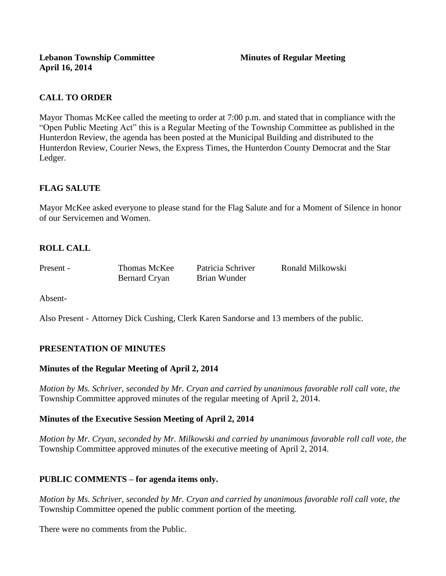# **CALL TO ORDER**

Mayor Thomas McKee called the meeting to order at 7:00 p.m. and stated that in compliance with the "Open Public Meeting Act" this is a Regular Meeting of the Township Committee as published in the Hunterdon Review, the agenda has been posted at the Municipal Building and distributed to the Hunterdon Review, Courier News, the Express Times, the Hunterdon County Democrat and the Star Ledger.

# **FLAG SALUTE**

Mayor McKee asked everyone to please stand for the Flag Salute and for a Moment of Silence in honor of our Servicemen and Women.

# **ROLL CALL**

Bernard Cryan Brian Wunder

Present - Thomas McKee Patricia Schriver Ronald Milkowski

Absent-

Also Present - Attorney Dick Cushing, Clerk Karen Sandorse and 13 members of the public.

## **PRESENTATION OF MINUTES**

### **Minutes of the Regular Meeting of April 2, 2014**

*Motion by Ms. Schriver, seconded by Mr. Cryan and carried by unanimous favorable roll call vote, the*  Township Committee approved minutes of the regular meeting of April 2, 2014.

## **Minutes of the Executive Session Meeting of April 2, 2014**

*Motion by Mr. Cryan, seconded by Mr. Milkowski and carried by unanimous favorable roll call vote, the*  Township Committee approved minutes of the executive meeting of April 2, 2014.

## **PUBLIC COMMENTS – for agenda items only.**

*Motion by Ms. Schriver, seconded by Mr. Cryan and carried by unanimous favorable roll call vote, the* Township Committee opened the public comment portion of the meeting.

There were no comments from the Public.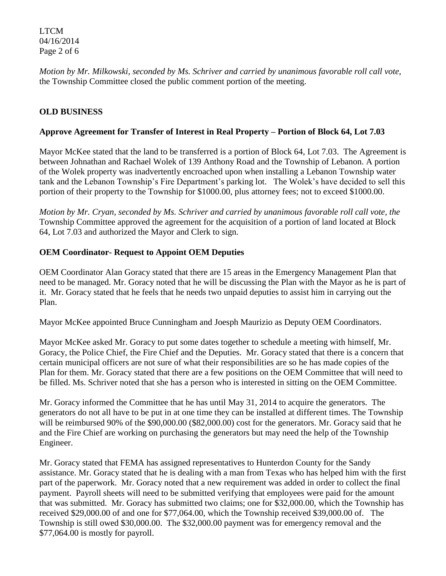LTCM 04/16/2014 Page 2 of 6

*Motion by Mr. Milkowski, seconded by Ms. Schriver and carried by unanimous favorable roll call vote,* the Township Committee closed the public comment portion of the meeting.

# **OLD BUSINESS**

### **Approve Agreement for Transfer of Interest in Real Property – Portion of Block 64, Lot 7.03**

Mayor McKee stated that the land to be transferred is a portion of Block 64, Lot 7.03. The Agreement is between Johnathan and Rachael Wolek of 139 Anthony Road and the Township of Lebanon. A portion of the Wolek property was inadvertently encroached upon when installing a Lebanon Township water tank and the Lebanon Township's Fire Department's parking lot. The Wolek's have decided to sell this portion of their property to the Township for \$1000.00, plus attorney fees; not to exceed \$1000.00.

*Motion by Mr. Cryan, seconded by Ms. Schriver and carried by unanimous favorable roll call vote, the* Township Committee approved the agreement for the acquisition of a portion of land located at Block 64, Lot 7.03 and authorized the Mayor and Clerk to sign.

## **OEM Coordinator- Request to Appoint OEM Deputies**

OEM Coordinator Alan Goracy stated that there are 15 areas in the Emergency Management Plan that need to be managed. Mr. Goracy noted that he will be discussing the Plan with the Mayor as he is part of it. Mr. Goracy stated that he feels that he needs two unpaid deputies to assist him in carrying out the Plan.

Mayor McKee appointed Bruce Cunningham and Joesph Maurizio as Deputy OEM Coordinators.

Mayor McKee asked Mr. Goracy to put some dates together to schedule a meeting with himself, Mr. Goracy, the Police Chief, the Fire Chief and the Deputies. Mr. Goracy stated that there is a concern that certain municipal officers are not sure of what their responsibilities are so he has made copies of the Plan for them. Mr. Goracy stated that there are a few positions on the OEM Committee that will need to be filled. Ms. Schriver noted that she has a person who is interested in sitting on the OEM Committee.

Mr. Goracy informed the Committee that he has until May 31, 2014 to acquire the generators. The generators do not all have to be put in at one time they can be installed at different times. The Township will be reimbursed 90% of the \$90,000.00 (\$82,000.00) cost for the generators. Mr. Goracy said that he and the Fire Chief are working on purchasing the generators but may need the help of the Township Engineer.

Mr. Goracy stated that FEMA has assigned representatives to Hunterdon County for the Sandy assistance. Mr. Goracy stated that he is dealing with a man from Texas who has helped him with the first part of the paperwork. Mr. Goracy noted that a new requirement was added in order to collect the final payment. Payroll sheets will need to be submitted verifying that employees were paid for the amount that was submitted. Mr. Goracy has submitted two claims; one for \$32,000.00, which the Township has received \$29,000.00 of and one for \$77,064.00, which the Township received \$39,000.00 of. The Township is still owed \$30,000.00. The \$32,000.00 payment was for emergency removal and the \$77,064.00 is mostly for payroll.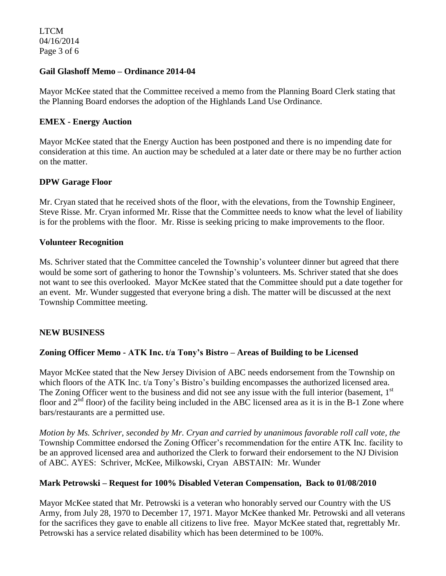LTCM 04/16/2014 Page 3 of 6

### **Gail Glashoff Memo – Ordinance 2014-04**

Mayor McKee stated that the Committee received a memo from the Planning Board Clerk stating that the Planning Board endorses the adoption of the Highlands Land Use Ordinance.

### **EMEX - Energy Auction**

Mayor McKee stated that the Energy Auction has been postponed and there is no impending date for consideration at this time. An auction may be scheduled at a later date or there may be no further action on the matter.

#### **DPW Garage Floor**

Mr. Cryan stated that he received shots of the floor, with the elevations, from the Township Engineer, Steve Risse. Mr. Cryan informed Mr. Risse that the Committee needs to know what the level of liability is for the problems with the floor. Mr. Risse is seeking pricing to make improvements to the floor.

#### **Volunteer Recognition**

Ms. Schriver stated that the Committee canceled the Township's volunteer dinner but agreed that there would be some sort of gathering to honor the Township's volunteers. Ms. Schriver stated that she does not want to see this overlooked. Mayor McKee stated that the Committee should put a date together for an event. Mr. Wunder suggested that everyone bring a dish. The matter will be discussed at the next Township Committee meeting.

### **NEW BUSINESS**

### **Zoning Officer Memo - ATK Inc. t/a Tony's Bistro – Areas of Building to be Licensed**

Mayor McKee stated that the New Jersey Division of ABC needs endorsement from the Township on which floors of the ATK Inc. t/a Tony's Bistro's building encompasses the authorized licensed area. The Zoning Officer went to the business and did not see any issue with the full interior (basement, 1<sup>st</sup>) floor and  $2<sup>nd</sup>$  floor) of the facility being included in the ABC licensed area as it is in the B-1 Zone where bars/restaurants are a permitted use.

*Motion by Ms. Schriver, seconded by Mr. Cryan and carried by unanimous favorable roll call vote, the* Township Committee endorsed the Zoning Officer's recommendation for the entire ATK Inc. facility to be an approved licensed area and authorized the Clerk to forward their endorsement to the NJ Division of ABC. AYES: Schriver, McKee, Milkowski, Cryan ABSTAIN: Mr. Wunder

#### **Mark Petrowski – Request for 100% Disabled Veteran Compensation, Back to 01/08/2010**

Mayor McKee stated that Mr. Petrowski is a veteran who honorably served our Country with the US Army, from July 28, 1970 to December 17, 1971. Mayor McKee thanked Mr. Petrowski and all veterans for the sacrifices they gave to enable all citizens to live free. Mayor McKee stated that, regrettably Mr. Petrowski has a service related disability which has been determined to be 100%.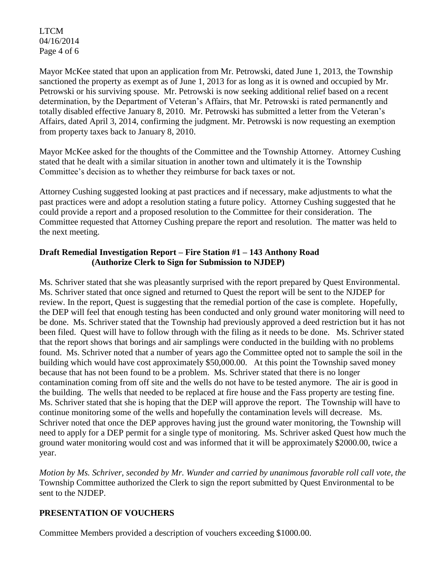LTCM 04/16/2014 Page 4 of 6

Mayor McKee stated that upon an application from Mr. Petrowski, dated June 1, 2013, the Township sanctioned the property as exempt as of June 1, 2013 for as long as it is owned and occupied by Mr. Petrowski or his surviving spouse. Mr. Petrowski is now seeking additional relief based on a recent determination, by the Department of Veteran's Affairs, that Mr. Petrowski is rated permanently and totally disabled effective January 8, 2010. Mr. Petrowski has submitted a letter from the Veteran's Affairs, dated April 3, 2014, confirming the judgment. Mr. Petrowski is now requesting an exemption from property taxes back to January 8, 2010.

Mayor McKee asked for the thoughts of the Committee and the Township Attorney. Attorney Cushing stated that he dealt with a similar situation in another town and ultimately it is the Township Committee's decision as to whether they reimburse for back taxes or not.

Attorney Cushing suggested looking at past practices and if necessary, make adjustments to what the past practices were and adopt a resolution stating a future policy. Attorney Cushing suggested that he could provide a report and a proposed resolution to the Committee for their consideration. The Committee requested that Attorney Cushing prepare the report and resolution. The matter was held to the next meeting.

## **Draft Remedial Investigation Report – Fire Station #1 – 143 Anthony Road (Authorize Clerk to Sign for Submission to NJDEP)**

Ms. Schriver stated that she was pleasantly surprised with the report prepared by Quest Environmental. Ms. Schriver stated that once signed and returned to Quest the report will be sent to the NJDEP for review. In the report, Quest is suggesting that the remedial portion of the case is complete. Hopefully, the DEP will feel that enough testing has been conducted and only ground water monitoring will need to be done. Ms. Schriver stated that the Township had previously approved a deed restriction but it has not been filed. Quest will have to follow through with the filing as it needs to be done. Ms. Schriver stated that the report shows that borings and air samplings were conducted in the building with no problems found. Ms. Schriver noted that a number of years ago the Committee opted not to sample the soil in the building which would have cost approximately \$50,000.00. At this point the Township saved money because that has not been found to be a problem. Ms. Schriver stated that there is no longer contamination coming from off site and the wells do not have to be tested anymore. The air is good in the building. The wells that needed to be replaced at fire house and the Fass property are testing fine. Ms. Schriver stated that she is hoping that the DEP will approve the report. The Township will have to continue monitoring some of the wells and hopefully the contamination levels will decrease. Ms. Schriver noted that once the DEP approves having just the ground water monitoring, the Township will need to apply for a DEP permit for a single type of monitoring. Ms. Schriver asked Quest how much the ground water monitoring would cost and was informed that it will be approximately \$2000.00, twice a year.

*Motion by Ms. Schriver, seconded by Mr. Wunder and carried by unanimous favorable roll call vote, the* Township Committee authorized the Clerk to sign the report submitted by Quest Environmental to be sent to the NJDEP.

# **PRESENTATION OF VOUCHERS**

Committee Members provided a description of vouchers exceeding \$1000.00.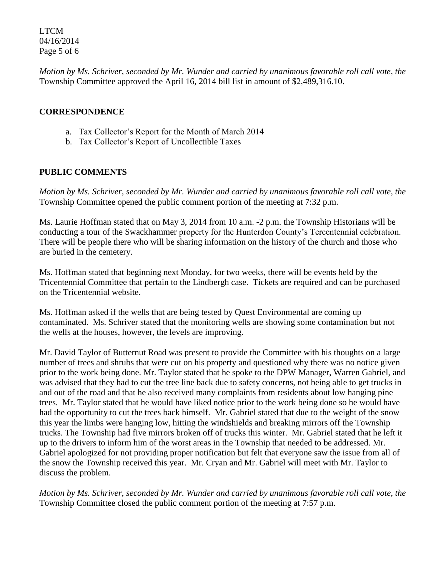LTCM 04/16/2014 Page 5 of 6

*Motion by Ms. Schriver, seconded by Mr. Wunder and carried by unanimous favorable roll call vote, the* Township Committee approved the April 16, 2014 bill list in amount of \$2,489,316.10.

### **CORRESPONDENCE**

- a. Tax Collector's Report for the Month of March 2014
- b. Tax Collector's Report of Uncollectible Taxes

### **PUBLIC COMMENTS**

*Motion by Ms. Schriver, seconded by Mr. Wunder and carried by unanimous favorable roll call vote, the* Township Committee opened the public comment portion of the meeting at 7:32 p.m.

Ms. Laurie Hoffman stated that on May 3, 2014 from 10 a.m. -2 p.m. the Township Historians will be conducting a tour of the Swackhammer property for the Hunterdon County's Tercentennial celebration. There will be people there who will be sharing information on the history of the church and those who are buried in the cemetery.

Ms. Hoffman stated that beginning next Monday, for two weeks, there will be events held by the Tricentennial Committee that pertain to the Lindbergh case. Tickets are required and can be purchased on the Tricentennial website.

Ms. Hoffman asked if the wells that are being tested by Quest Environmental are coming up contaminated. Ms. Schriver stated that the monitoring wells are showing some contamination but not the wells at the houses, however, the levels are improving.

Mr. David Taylor of Butternut Road was present to provide the Committee with his thoughts on a large number of trees and shrubs that were cut on his property and questioned why there was no notice given prior to the work being done. Mr. Taylor stated that he spoke to the DPW Manager, Warren Gabriel, and was advised that they had to cut the tree line back due to safety concerns, not being able to get trucks in and out of the road and that he also received many complaints from residents about low hanging pine trees. Mr. Taylor stated that he would have liked notice prior to the work being done so he would have had the opportunity to cut the trees back himself. Mr. Gabriel stated that due to the weight of the snow this year the limbs were hanging low, hitting the windshields and breaking mirrors off the Township trucks. The Township had five mirrors broken off of trucks this winter. Mr. Gabriel stated that he left it up to the drivers to inform him of the worst areas in the Township that needed to be addressed. Mr. Gabriel apologized for not providing proper notification but felt that everyone saw the issue from all of the snow the Township received this year. Mr. Cryan and Mr. Gabriel will meet with Mr. Taylor to discuss the problem.

*Motion by Ms. Schriver, seconded by Mr. Wunder and carried by unanimous favorable roll call vote, the* Township Committee closed the public comment portion of the meeting at 7:57 p.m.